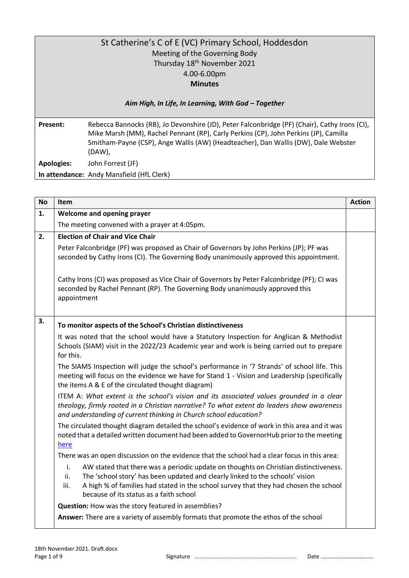| St Catherine's C of E (VC) Primary School, Hoddesdon |                                                                                                                                                                                                                                                                                          |  |  |  |  |
|------------------------------------------------------|------------------------------------------------------------------------------------------------------------------------------------------------------------------------------------------------------------------------------------------------------------------------------------------|--|--|--|--|
|                                                      | Meeting of the Governing Body                                                                                                                                                                                                                                                            |  |  |  |  |
|                                                      | Thursday 18 <sup>th</sup> November 2021                                                                                                                                                                                                                                                  |  |  |  |  |
|                                                      | 4.00-6.00pm                                                                                                                                                                                                                                                                              |  |  |  |  |
|                                                      | <b>Minutes</b>                                                                                                                                                                                                                                                                           |  |  |  |  |
|                                                      | Aim High, In Life, In Learning, With God - Together                                                                                                                                                                                                                                      |  |  |  |  |
| <b>Present:</b>                                      | Rebecca Bannocks (RB), Jo Devonshire (JD), Peter Falconbridge (PF) (Chair), Cathy Irons (CI),<br>Mike Marsh (MM), Rachel Pennant (RP), Carly Perkins (CP), John Perkins (JP), Camilla<br>Smitham-Payne (CSP), Ange Wallis (AW) (Headteacher), Dan Wallis (DW), Dale Webster<br>$(DAW)$ , |  |  |  |  |
| <b>Apologies:</b>                                    | John Forrest (JF)                                                                                                                                                                                                                                                                        |  |  |  |  |
|                                                      | In attendance: Andy Mansfield (HfL Clerk)                                                                                                                                                                                                                                                |  |  |  |  |

| <b>No</b> | Item                                                                                                                                                                                                                                                                                                                                                                                                                                                                                                              | <b>Action</b> |
|-----------|-------------------------------------------------------------------------------------------------------------------------------------------------------------------------------------------------------------------------------------------------------------------------------------------------------------------------------------------------------------------------------------------------------------------------------------------------------------------------------------------------------------------|---------------|
| 1.        | Welcome and opening prayer                                                                                                                                                                                                                                                                                                                                                                                                                                                                                        |               |
|           | The meeting convened with a prayer at 4:05pm.                                                                                                                                                                                                                                                                                                                                                                                                                                                                     |               |
| 2.        | <b>Election of Chair and Vice Chair</b>                                                                                                                                                                                                                                                                                                                                                                                                                                                                           |               |
|           | Peter Falconbridge (PF) was proposed as Chair of Governors by John Perkins (JP); PF was<br>seconded by Cathy Irons (CI). The Governing Body unanimously approved this appointment.                                                                                                                                                                                                                                                                                                                                |               |
|           | Cathy Irons (CI) was proposed as Vice Chair of Governors by Peter Falconbridge (PF); CI was<br>seconded by Rachel Pennant (RP). The Governing Body unanimously approved this<br>appointment                                                                                                                                                                                                                                                                                                                       |               |
| 3.        | To monitor aspects of the School's Christian distinctiveness                                                                                                                                                                                                                                                                                                                                                                                                                                                      |               |
|           | It was noted that the school would have a Statutory Inspection for Anglican & Methodist<br>Schools (SIAM) visit in the 2022/23 Academic year and work is being carried out to prepare<br>for this.                                                                                                                                                                                                                                                                                                                |               |
|           | The SIAMS Inspection will judge the school's performance in '7 Strands' of school life. This<br>meeting will focus on the evidence we have for Stand 1 - Vision and Leadership (specifically<br>the items A & E of the circulated thought diagram)<br>ITEM A: What extent is the school's vision and its associated values grounded in a clear<br>theology, firmly rooted in a Christian narrative? To what extent do leaders show awareness<br>and understanding of current thinking in Church school education? |               |
|           |                                                                                                                                                                                                                                                                                                                                                                                                                                                                                                                   |               |
|           | The circulated thought diagram detailed the school's evidence of work in this area and it was<br>noted that a detailed written document had been added to GovernorHub prior to the meeting<br><u>here</u>                                                                                                                                                                                                                                                                                                         |               |
|           | There was an open discussion on the evidence that the school had a clear focus in this area:                                                                                                                                                                                                                                                                                                                                                                                                                      |               |
|           | i.<br>AW stated that there was a periodic update on thoughts on Christian distinctiveness.<br>ii.<br>The 'school story' has been updated and clearly linked to the schools' vision<br>A high % of families had stated in the school survey that they had chosen the school<br>iii.<br>because of its status as a faith school                                                                                                                                                                                     |               |
|           | Question: How was the story featured in assemblies?                                                                                                                                                                                                                                                                                                                                                                                                                                                               |               |
|           | Answer: There are a variety of assembly formats that promote the ethos of the school                                                                                                                                                                                                                                                                                                                                                                                                                              |               |

Page 1 of 9 Signature .............................................................. Date ……………………………….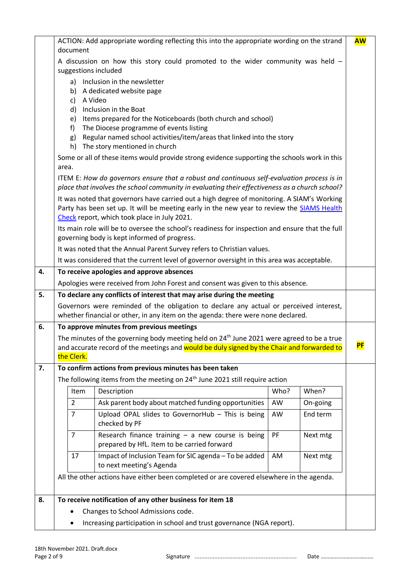|    | ACTION: Add appropriate wording reflecting this into the appropriate wording on the strand                                                                                 |                |                                                                                                                                                                                                                                          |      | <b>AW</b>            |           |
|----|----------------------------------------------------------------------------------------------------------------------------------------------------------------------------|----------------|------------------------------------------------------------------------------------------------------------------------------------------------------------------------------------------------------------------------------------------|------|----------------------|-----------|
|    | document                                                                                                                                                                   |                |                                                                                                                                                                                                                                          |      |                      |           |
|    | A discussion on how this story could promoted to the wider community was held -<br>suggestions included                                                                    |                |                                                                                                                                                                                                                                          |      |                      |           |
|    | Inclusion in the newsletter<br>a)<br>b) A dedicated website page<br>A Video<br>c)                                                                                          |                |                                                                                                                                                                                                                                          |      |                      |           |
|    |                                                                                                                                                                            | d)<br>e)       | Inclusion in the Boat<br>Items prepared for the Noticeboards (both church and school)                                                                                                                                                    |      |                      |           |
|    |                                                                                                                                                                            | f<br>g)<br>h)  | The Diocese programme of events listing<br>Regular named school activities/item/areas that linked into the story<br>The story mentioned in church                                                                                        |      |                      |           |
|    | area.                                                                                                                                                                      |                | Some or all of these items would provide strong evidence supporting the schools work in this                                                                                                                                             |      |                      |           |
|    |                                                                                                                                                                            |                | ITEM E: How do governors ensure that a robust and continuous self-evaluation process is in<br>place that involves the school community in evaluating their effectiveness as a church school?                                             |      |                      |           |
|    |                                                                                                                                                                            |                | It was noted that governors have carried out a high degree of monitoring. A SIAM's Working<br>Party has been set up. It will be meeting early in the new year to review the SIAMS Health<br>Check report, which took place in July 2021. |      |                      |           |
|    |                                                                                                                                                                            |                | Its main role will be to oversee the school's readiness for inspection and ensure that the full<br>governing body is kept informed of progress.                                                                                          |      |                      |           |
|    |                                                                                                                                                                            |                | It was noted that the Annual Parent Survey refers to Christian values.                                                                                                                                                                   |      |                      |           |
|    |                                                                                                                                                                            |                | It was considered that the current level of governor oversight in this area was acceptable.                                                                                                                                              |      |                      |           |
| 4. | To receive apologies and approve absences                                                                                                                                  |                |                                                                                                                                                                                                                                          |      |                      |           |
|    | Apologies were received from John Forest and consent was given to this absence.                                                                                            |                |                                                                                                                                                                                                                                          |      |                      |           |
| 5. |                                                                                                                                                                            |                | To declare any conflicts of interest that may arise during the meeting                                                                                                                                                                   |      |                      |           |
|    | Governors were reminded of the obligation to declare any actual or perceived interest,<br>whether financial or other, in any item on the agenda: there were none declared. |                |                                                                                                                                                                                                                                          |      |                      |           |
| 6. |                                                                                                                                                                            |                | To approve minutes from previous meetings                                                                                                                                                                                                |      |                      |           |
|    |                                                                                                                                                                            |                | The minutes of the governing body meeting held on 24 <sup>th</sup> June 2021 were agreed to be a true                                                                                                                                    |      |                      |           |
|    |                                                                                                                                                                            |                | and accurate record of the meetings and would be duly signed by the Chair and forwarded to                                                                                                                                               |      |                      | <b>PF</b> |
|    |                                                                                                                                                                            | the Clerk.     |                                                                                                                                                                                                                                          |      |                      |           |
| 7. |                                                                                                                                                                            |                | To confirm actions from previous minutes has been taken<br>The following items from the meeting on 24 <sup>th</sup> June 2021 still require action                                                                                       |      |                      |           |
|    |                                                                                                                                                                            | Item           | Description                                                                                                                                                                                                                              | Who? | When?                |           |
|    |                                                                                                                                                                            | $\overline{2}$ | Ask parent body about matched funding opportunities                                                                                                                                                                                      | AW   |                      |           |
|    |                                                                                                                                                                            | $\overline{7}$ | Upload OPAL slides to GovernorHub - This is being                                                                                                                                                                                        | AW   | On-going<br>End term |           |
|    |                                                                                                                                                                            |                | checked by PF                                                                                                                                                                                                                            |      |                      |           |
|    |                                                                                                                                                                            | $\overline{7}$ | Research finance training $-$ a new course is being<br>prepared by HfL. Item to be carried forward                                                                                                                                       | PF   | Next mtg             |           |
|    |                                                                                                                                                                            | 17             | Impact of Inclusion Team for SIC agenda - To be added<br>to next meeting's Agenda                                                                                                                                                        | AM   | Next mtg             |           |
|    | All the other actions have either been completed or are covered elsewhere in the agenda.                                                                                   |                |                                                                                                                                                                                                                                          |      |                      |           |
| 8. | To receive notification of any other business for item 18                                                                                                                  |                |                                                                                                                                                                                                                                          |      |                      |           |
|    | Changes to School Admissions code.<br>٠                                                                                                                                    |                |                                                                                                                                                                                                                                          |      |                      |           |
|    | Increasing participation in school and trust governance (NGA report).                                                                                                      |                |                                                                                                                                                                                                                                          |      |                      |           |

Page 2 of 9 Signature .............................................................. Date ……………………………….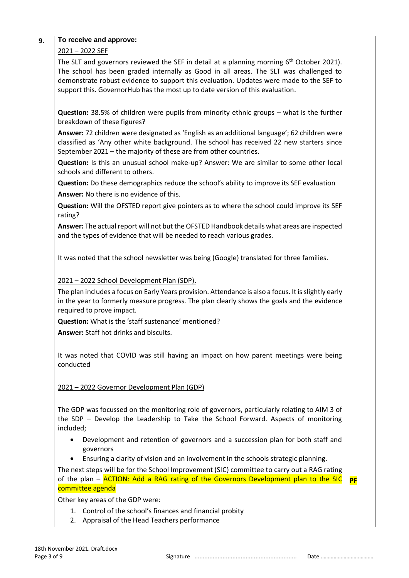| To receive and approve:                                                                                                                                                                                                                                                                                                                                                    |           |
|----------------------------------------------------------------------------------------------------------------------------------------------------------------------------------------------------------------------------------------------------------------------------------------------------------------------------------------------------------------------------|-----------|
| 2021-2022 SEF                                                                                                                                                                                                                                                                                                                                                              |           |
| The SLT and governors reviewed the SEF in detail at a planning morning 6 <sup>th</sup> October 2021).<br>The school has been graded internally as Good in all areas. The SLT was challenged to<br>demonstrate robust evidence to support this evaluation. Updates were made to the SEF to<br>support this. GovernorHub has the most up to date version of this evaluation. |           |
| <b>Question:</b> 38.5% of children were pupils from minority ethnic groups - what is the further<br>breakdown of these figures?                                                                                                                                                                                                                                            |           |
| Answer: 72 children were designated as 'English as an additional language'; 62 children were<br>classified as 'Any other white background. The school has received 22 new starters since<br>September 2021 - the majority of these are from other countries.                                                                                                               |           |
| Question: Is this an unusual school make-up? Answer: We are similar to some other local<br>schools and different to others.                                                                                                                                                                                                                                                |           |
| Question: Do these demographics reduce the school's ability to improve its SEF evaluation                                                                                                                                                                                                                                                                                  |           |
| Answer: No there is no evidence of this.                                                                                                                                                                                                                                                                                                                                   |           |
| Question: Will the OFSTED report give pointers as to where the school could improve its SEF<br>rating?                                                                                                                                                                                                                                                                     |           |
| Answer: The actual report will not but the OFSTED Handbook details what areas are inspected<br>and the types of evidence that will be needed to reach various grades.                                                                                                                                                                                                      |           |
| It was noted that the school newsletter was being (Google) translated for three families.                                                                                                                                                                                                                                                                                  |           |
| 2021 - 2022 School Development Plan (SDP).                                                                                                                                                                                                                                                                                                                                 |           |
| The plan includes a focus on Early Years provision. Attendance is also a focus. It is slightly early<br>in the year to formerly measure progress. The plan clearly shows the goals and the evidence<br>required to prove impact.                                                                                                                                           |           |
| Question: What is the 'staff sustenance' mentioned?                                                                                                                                                                                                                                                                                                                        |           |
| <b>Answer: Staff hot drinks and biscuits.</b>                                                                                                                                                                                                                                                                                                                              |           |
| It was noted that COVID was still having an impact on how parent meetings were being<br>conducted                                                                                                                                                                                                                                                                          |           |
| 2021 - 2022 Governor Development Plan (GDP)                                                                                                                                                                                                                                                                                                                                |           |
| The GDP was focussed on the monitoring role of governors, particularly relating to AIM 3 of<br>the SDP - Develop the Leadership to Take the School Forward. Aspects of monitoring<br>included;                                                                                                                                                                             |           |
| Development and retention of governors and a succession plan for both staff and<br>٠<br>governors                                                                                                                                                                                                                                                                          |           |
| Ensuring a clarity of vision and an involvement in the schools strategic planning.<br>$\bullet$                                                                                                                                                                                                                                                                            |           |
| The next steps will be for the School Improvement (SIC) committee to carry out a RAG rating<br>of the plan - ACTION: Add a RAG rating of the Governors Development plan to the SIC                                                                                                                                                                                         | <b>PF</b> |
| committee agenda                                                                                                                                                                                                                                                                                                                                                           |           |
| Other key areas of the GDP were:                                                                                                                                                                                                                                                                                                                                           |           |
| 1. Control of the school's finances and financial probity<br>2. Appraisal of the Head Teachers performance                                                                                                                                                                                                                                                                 |           |

Page 3 of 9 Signature .............................................................. Date ……………………………….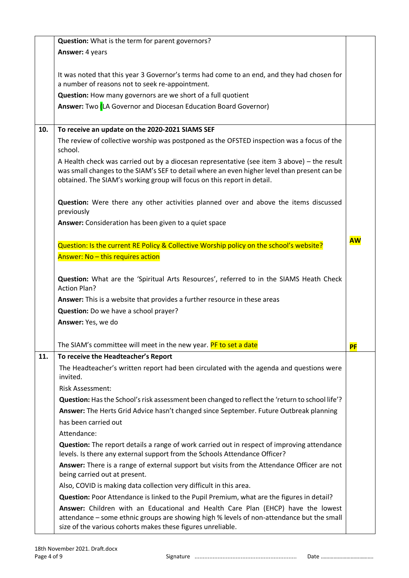|     | Question: What is the term for parent governors?                                                                                                                                                                                                                       |           |
|-----|------------------------------------------------------------------------------------------------------------------------------------------------------------------------------------------------------------------------------------------------------------------------|-----------|
|     | Answer: 4 years                                                                                                                                                                                                                                                        |           |
|     |                                                                                                                                                                                                                                                                        |           |
|     | It was noted that this year 3 Governor's terms had come to an end, and they had chosen for<br>a number of reasons not to seek re-appointment.                                                                                                                          |           |
|     | Question: How many governors are we short of a full quotient                                                                                                                                                                                                           |           |
|     | Answer: Two <i>[LA Governor and Diocesan Education Board Governor</i> )                                                                                                                                                                                                |           |
|     |                                                                                                                                                                                                                                                                        |           |
| 10. | To receive an update on the 2020-2021 SIAMS SEF                                                                                                                                                                                                                        |           |
|     | The review of collective worship was postponed as the OFSTED inspection was a focus of the<br>school.                                                                                                                                                                  |           |
|     | A Health check was carried out by a diocesan representative (see item 3 above) – the result<br>was small changes to the SIAM's SEF to detail where an even higher level than present can be<br>obtained. The SIAM's working group will focus on this report in detail. |           |
|     | Question: Were there any other activities planned over and above the items discussed<br>previously                                                                                                                                                                     |           |
|     | Answer: Consideration has been given to a quiet space                                                                                                                                                                                                                  |           |
|     |                                                                                                                                                                                                                                                                        | <b>AW</b> |
|     | Question: Is the current RE Policy & Collective Worship policy on the school's website?                                                                                                                                                                                |           |
|     | Answer: No - this requires action                                                                                                                                                                                                                                      |           |
|     | Question: What are the 'Spiritual Arts Resources', referred to in the SIAMS Heath Check<br><b>Action Plan?</b>                                                                                                                                                         |           |
|     | Answer: This is a website that provides a further resource in these areas                                                                                                                                                                                              |           |
|     | Question: Do we have a school prayer?                                                                                                                                                                                                                                  |           |
|     | Answer: Yes, we do                                                                                                                                                                                                                                                     |           |
|     | The SIAM's committee will meet in the new year. <mark>PF to set a date</mark>                                                                                                                                                                                          | <b>PF</b> |
| 11. | To receive the Headteacher's Report                                                                                                                                                                                                                                    |           |
|     | The Headteacher's written report had been circulated with the agenda and questions were<br>invited.                                                                                                                                                                    |           |
|     | <b>Risk Assessment:</b>                                                                                                                                                                                                                                                |           |
|     | Question: Has the School's risk assessment been changed to reflect the 'return to school life'?                                                                                                                                                                        |           |
|     | Answer: The Herts Grid Advice hasn't changed since September. Future Outbreak planning                                                                                                                                                                                 |           |
|     | has been carried out                                                                                                                                                                                                                                                   |           |
|     | Attendance:                                                                                                                                                                                                                                                            |           |
|     | Question: The report details a range of work carried out in respect of improving attendance<br>levels. Is there any external support from the Schools Attendance Officer?                                                                                              |           |
|     | Answer: There is a range of external support but visits from the Attendance Officer are not<br>being carried out at present.                                                                                                                                           |           |
|     | Also, COVID is making data collection very difficult in this area.                                                                                                                                                                                                     |           |
|     | Question: Poor Attendance is linked to the Pupil Premium, what are the figures in detail?                                                                                                                                                                              |           |
|     | Answer: Children with an Educational and Health Care Plan (EHCP) have the lowest<br>attendance - some ethnic groups are showing high % levels of non-attendance but the small<br>size of the various cohorts makes these figures unreliable.                           |           |
|     |                                                                                                                                                                                                                                                                        |           |

Page 4 of 9 Signature .............................................................. Date ……………………………….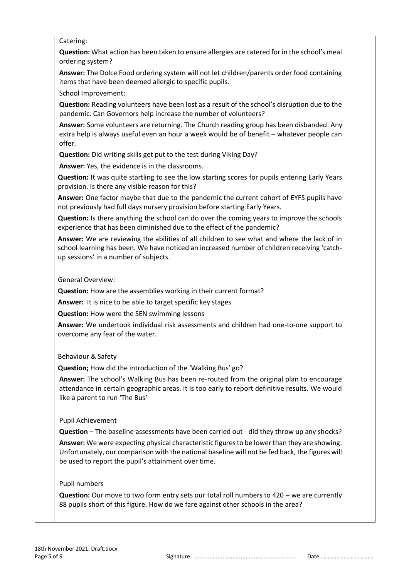# Catering:

**Question:** What action has been taken to ensure allergies are catered for in the school's meal ordering system?

**Answer:** The Dolce Food ordering system will not let children/parents order food containing items that have been deemed allergic to specific pupils.

School Improvement:

**Question:** Reading volunteers have been lost as a result of the school's disruption due to the pandemic. Can Governors help increase the number of volunteers?

**Answer:** Some volunteers are returning. The Church reading group has been disbanded. Any extra help is always useful even an hour a week would be of benefit – whatever people can offer.

**Question:** Did writing skills get put to the test during Viking Day?

**Answer:** Yes, the evidence is in the classrooms.

**Question:** It was quite startling to see the low starting scores for pupils entering Early Years provision. Is there any visible reason for this?

**Answer:** One factor maybe that due to the pandemic the current cohort of EYFS pupils have not previously had full days nursery provision before starting Early Years.

**Question:** Is there anything the school can do over the coming years to improve the schools experience that has been diminished due to the effect of the pandemic?

**Answer:** We are reviewing the abilities of all children to see what and where the lack of in school learning has been. We have noticed an increased number of children receiving 'catchup sessions' in a number of subjects.

#### General Overview:

**Question:** How are the assemblies working in their current format?

**Answer:** It is nice to be able to target specific key stages

**Question:** How were the SEN swimming lessons

**Answer:** We undertook individual risk assessments and children had one-to-one support to overcome any fear of the water.

# Behaviour & Safety

**Question;** How did the introduction of the 'Walking Bus' go?

**Answer:** The school's Walking Bus has been re-routed from the original plan to encourage attendance in certain geographic areas. It is too early to report definitive results. We would like a parent to run 'The Bus'

# Pupil Achievement

**Question** – The baseline assessments have been carried out - did they throw up any shocks?

**Answer:** We were expecting physical characteristic figures to be lower than they are showing. Unfortunately, our comparison with the national baseline will not be fed back, the figures will be used to report the pupil's attainment over time.

#### Pupil numbers

**Question:** Our move to two form entry sets our total roll numbers to 420 – we are currently 88 pupils short of this figure. How do we fare against other schools in the area?

Page 5 of 9 Signature .............................................................. Date ……………………………….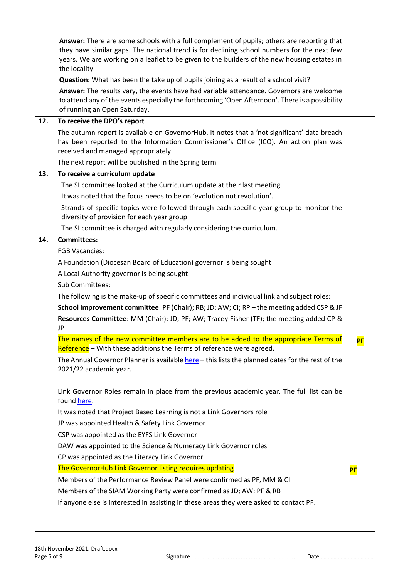|     | Answer: There are some schools with a full complement of pupils; others are reporting that<br>they have similar gaps. The national trend is for declining school numbers for the next few<br>years. We are working on a leaflet to be given to the builders of the new housing estates in<br>the locality.<br>Question: What has been the take up of pupils joining as a result of a school visit?<br>Answer: The results vary, the events have had variable attendance. Governors are welcome |           |
|-----|------------------------------------------------------------------------------------------------------------------------------------------------------------------------------------------------------------------------------------------------------------------------------------------------------------------------------------------------------------------------------------------------------------------------------------------------------------------------------------------------|-----------|
|     | to attend any of the events especially the forthcoming 'Open Afternoon'. There is a possibility<br>of running an Open Saturday.                                                                                                                                                                                                                                                                                                                                                                |           |
| 12. | To receive the DPO's report                                                                                                                                                                                                                                                                                                                                                                                                                                                                    |           |
|     | The autumn report is available on GovernorHub. It notes that a 'not significant' data breach<br>has been reported to the Information Commissioner's Office (ICO). An action plan was<br>received and managed appropriately.                                                                                                                                                                                                                                                                    |           |
|     | The next report will be published in the Spring term                                                                                                                                                                                                                                                                                                                                                                                                                                           |           |
| 13. | To receive a curriculum update                                                                                                                                                                                                                                                                                                                                                                                                                                                                 |           |
|     | The SI committee looked at the Curriculum update at their last meeting.                                                                                                                                                                                                                                                                                                                                                                                                                        |           |
|     | It was noted that the focus needs to be on 'evolution not revolution'.                                                                                                                                                                                                                                                                                                                                                                                                                         |           |
|     | Strands of specific topics were followed through each specific year group to monitor the<br>diversity of provision for each year group                                                                                                                                                                                                                                                                                                                                                         |           |
|     | The SI committee is charged with regularly considering the curriculum.                                                                                                                                                                                                                                                                                                                                                                                                                         |           |
| 14. | <b>Committees:</b>                                                                                                                                                                                                                                                                                                                                                                                                                                                                             |           |
|     | <b>FGB Vacancies:</b>                                                                                                                                                                                                                                                                                                                                                                                                                                                                          |           |
|     | A Foundation (Diocesan Board of Education) governor is being sought                                                                                                                                                                                                                                                                                                                                                                                                                            |           |
|     | A Local Authority governor is being sought.                                                                                                                                                                                                                                                                                                                                                                                                                                                    |           |
|     | Sub Committees:                                                                                                                                                                                                                                                                                                                                                                                                                                                                                |           |
|     | The following is the make-up of specific committees and individual link and subject roles:                                                                                                                                                                                                                                                                                                                                                                                                     |           |
|     | School Improvement committee: PF (Chair); RB; JD; AW; CI; RP - the meeting added CSP & JF                                                                                                                                                                                                                                                                                                                                                                                                      |           |
|     | Resources Committee: MM (Chair); JD; PF; AW; Tracey Fisher (TF); the meeting added CP &<br>JP                                                                                                                                                                                                                                                                                                                                                                                                  |           |
|     | The names of the new committee members are to be added to the appropriate Terms of                                                                                                                                                                                                                                                                                                                                                                                                             | PF        |
|     | Reference - With these additions the Terms of reference were agreed.                                                                                                                                                                                                                                                                                                                                                                                                                           |           |
|     | The Annual Governor Planner is available here - this lists the planned dates for the rest of the<br>2021/22 academic year.                                                                                                                                                                                                                                                                                                                                                                     |           |
|     | Link Governor Roles remain in place from the previous academic year. The full list can be<br>found here.                                                                                                                                                                                                                                                                                                                                                                                       |           |
|     | It was noted that Project Based Learning is not a Link Governors role                                                                                                                                                                                                                                                                                                                                                                                                                          |           |
|     | JP was appointed Health & Safety Link Governor                                                                                                                                                                                                                                                                                                                                                                                                                                                 |           |
|     | CSP was appointed as the EYFS Link Governor                                                                                                                                                                                                                                                                                                                                                                                                                                                    |           |
|     | DAW was appointed to the Science & Numeracy Link Governor roles                                                                                                                                                                                                                                                                                                                                                                                                                                |           |
|     | CP was appointed as the Literacy Link Governor                                                                                                                                                                                                                                                                                                                                                                                                                                                 |           |
|     | The GovernorHub Link Governor listing requires updating                                                                                                                                                                                                                                                                                                                                                                                                                                        | <b>PF</b> |
|     | Members of the Performance Review Panel were confirmed as PF, MM & CI                                                                                                                                                                                                                                                                                                                                                                                                                          |           |
|     | Members of the SIAM Working Party were confirmed as JD; AW; PF & RB                                                                                                                                                                                                                                                                                                                                                                                                                            |           |
|     | If anyone else is interested in assisting in these areas they were asked to contact PF.                                                                                                                                                                                                                                                                                                                                                                                                        |           |
|     |                                                                                                                                                                                                                                                                                                                                                                                                                                                                                                |           |
|     |                                                                                                                                                                                                                                                                                                                                                                                                                                                                                                |           |

Page 6 of 9 Signature .............................................................. Date ……………………………….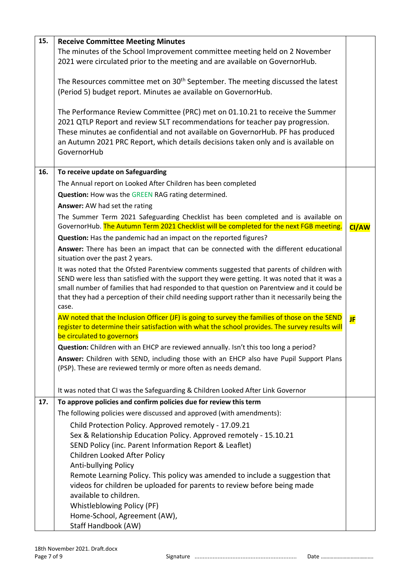| 15. | <b>Receive Committee Meeting Minutes</b>                                                                                                                     |              |  |
|-----|--------------------------------------------------------------------------------------------------------------------------------------------------------------|--------------|--|
|     | The minutes of the School Improvement committee meeting held on 2 November                                                                                   |              |  |
|     | 2021 were circulated prior to the meeting and are available on GovernorHub.                                                                                  |              |  |
|     |                                                                                                                                                              |              |  |
|     | The Resources committee met on 30 <sup>th</sup> September. The meeting discussed the latest                                                                  |              |  |
|     | (Period 5) budget report. Minutes ae available on GovernorHub.                                                                                               |              |  |
|     |                                                                                                                                                              |              |  |
|     | The Performance Review Committee (PRC) met on 01.10.21 to receive the Summer<br>2021 QTLP Report and review SLT recommendations for teacher pay progression. |              |  |
|     | These minutes ae confidential and not available on GovernorHub. PF has produced                                                                              |              |  |
|     | an Autumn 2021 PRC Report, which details decisions taken only and is available on                                                                            |              |  |
|     | GovernorHub                                                                                                                                                  |              |  |
|     |                                                                                                                                                              |              |  |
| 16. | To receive update on Safeguarding                                                                                                                            |              |  |
|     | The Annual report on Looked After Children has been completed                                                                                                |              |  |
|     | Question: How was the GREEN RAG rating determined.                                                                                                           |              |  |
|     | Answer: AW had set the rating                                                                                                                                |              |  |
|     | The Summer Term 2021 Safeguarding Checklist has been completed and is available on                                                                           |              |  |
|     | GovernorHub. The Autumn Term 2021 Checklist will be completed for the next FGB meeting.                                                                      | <b>CI/AW</b> |  |
|     | Question: Has the pandemic had an impact on the reported figures?                                                                                            |              |  |
|     | Answer: There has been an impact that can be connected with the different educational                                                                        |              |  |
|     | situation over the past 2 years.                                                                                                                             |              |  |
|     | It was noted that the Ofsted Parentview comments suggested that parents of children with                                                                     |              |  |
|     | SEND were less than satisfied with the support they were getting. It was noted that it was a                                                                 |              |  |
|     | small number of families that had responded to that question on Parentview and it could be                                                                   |              |  |
|     | that they had a perception of their child needing support rather than it necessarily being the<br>case.                                                      |              |  |
|     | AW noted that the Inclusion Officer (JF) is going to survey the families of those on the SEND                                                                |              |  |
|     | register to determine their satisfaction with what the school provides. The survey results will                                                              | JF           |  |
|     | be circulated to governors                                                                                                                                   |              |  |
|     | Question: Children with an EHCP are reviewed annually. Isn't this too long a period?                                                                         |              |  |
|     | Answer: Children with SEND, including those with an EHCP also have Pupil Support Plans                                                                       |              |  |
|     | (PSP). These are reviewed termly or more often as needs demand.                                                                                              |              |  |
|     |                                                                                                                                                              |              |  |
|     | It was noted that CI was the Safeguarding & Children Looked After Link Governor                                                                              |              |  |
| 17. | To approve policies and confirm policies due for review this term                                                                                            |              |  |
|     | The following policies were discussed and approved (with amendments):                                                                                        |              |  |
|     | Child Protection Policy. Approved remotely - 17.09.21                                                                                                        |              |  |
|     | Sex & Relationship Education Policy. Approved remotely - 15.10.21                                                                                            |              |  |
|     | SEND Policy (inc. Parent Information Report & Leaflet)                                                                                                       |              |  |
|     | Children Looked After Policy                                                                                                                                 |              |  |
|     | Anti-bullying Policy                                                                                                                                         |              |  |
|     | Remote Learning Policy. This policy was amended to include a suggestion that                                                                                 |              |  |
|     | videos for children be uploaded for parents to review before being made                                                                                      |              |  |
|     | available to children.                                                                                                                                       |              |  |
|     | Whistleblowing Policy (PF)                                                                                                                                   |              |  |
|     | Home-School, Agreement (AW),                                                                                                                                 |              |  |
|     | Staff Handbook (AW)                                                                                                                                          |              |  |

Page 7 of 9 Signature .............................................................. Date ……………………………….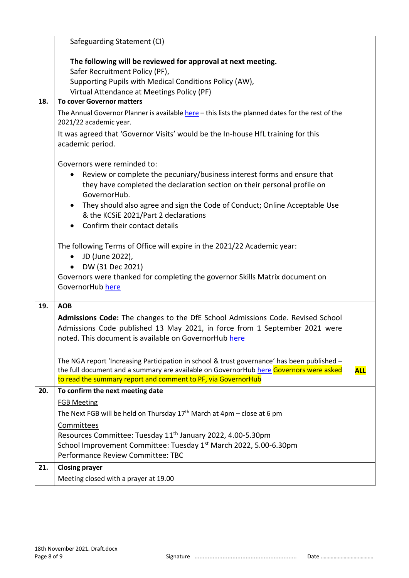|     | Safeguarding Statement (CI)                                                                                                                                                                                                                            |            |
|-----|--------------------------------------------------------------------------------------------------------------------------------------------------------------------------------------------------------------------------------------------------------|------------|
|     |                                                                                                                                                                                                                                                        |            |
|     | The following will be reviewed for approval at next meeting.<br>Safer Recruitment Policy (PF),                                                                                                                                                         |            |
|     | Supporting Pupils with Medical Conditions Policy (AW),                                                                                                                                                                                                 |            |
|     | Virtual Attendance at Meetings Policy (PF)                                                                                                                                                                                                             |            |
| 18. | <b>To cover Governor matters</b>                                                                                                                                                                                                                       |            |
|     | The Annual Governor Planner is available here - this lists the planned dates for the rest of the<br>2021/22 academic year.                                                                                                                             |            |
|     | It was agreed that 'Governor Visits' would be the In-house HfL training for this<br>academic period.                                                                                                                                                   |            |
|     | Governors were reminded to:<br>Review or complete the pecuniary/business interest forms and ensure that<br>$\bullet$<br>they have completed the declaration section on their personal profile on<br>GovernorHub.                                       |            |
|     | They should also agree and sign the Code of Conduct; Online Acceptable Use<br>& the KCSiE 2021/Part 2 declarations<br>Confirm their contact details                                                                                                    |            |
|     | The following Terms of Office will expire in the 2021/22 Academic year:<br>JD (June 2022),<br>$\bullet$<br>DW (31 Dec 2021)<br>$\bullet$<br>Governors were thanked for completing the governor Skills Matrix document on<br>GovernorHub here           |            |
| 19. | <b>AOB</b>                                                                                                                                                                                                                                             |            |
|     | Admissions Code: The changes to the DfE School Admissions Code. Revised School<br>Admissions Code published 13 May 2021, in force from 1 September 2021 were<br>noted. This document is available on GovernorHub here                                  |            |
|     | The NGA report 'Increasing Participation in school & trust governance' has been published -<br>the full document and a summary are available on GovernorHub here Governors were asked<br>to read the summary report and comment to PF, via GovernorHub | <b>ALL</b> |
| 20. | To confirm the next meeting date                                                                                                                                                                                                                       |            |
|     | <b>FGB Meeting</b>                                                                                                                                                                                                                                     |            |
|     | The Next FGB will be held on Thursday $17th$ March at 4pm – close at 6 pm                                                                                                                                                                              |            |
|     | Committees                                                                                                                                                                                                                                             |            |
|     | Resources Committee: Tuesday 11 <sup>th</sup> January 2022, 4.00-5.30pm                                                                                                                                                                                |            |
|     | School Improvement Committee: Tuesday 1 <sup>st</sup> March 2022, 5.00-6.30pm<br>Performance Review Committee: TBC                                                                                                                                     |            |
| 21. | <b>Closing prayer</b>                                                                                                                                                                                                                                  |            |
|     | Meeting closed with a prayer at 19.00                                                                                                                                                                                                                  |            |

Page 8 of 9 Signature .............................................................. Date ……………………………….